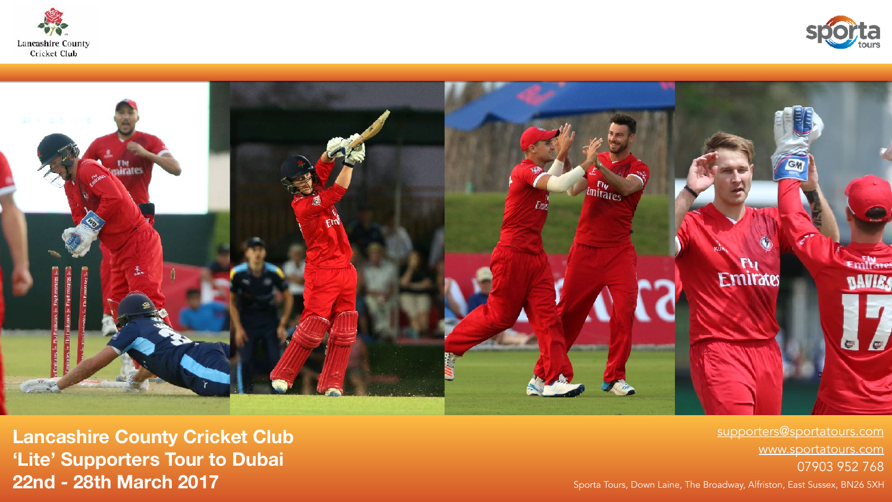**22nd - 28th March 2017**





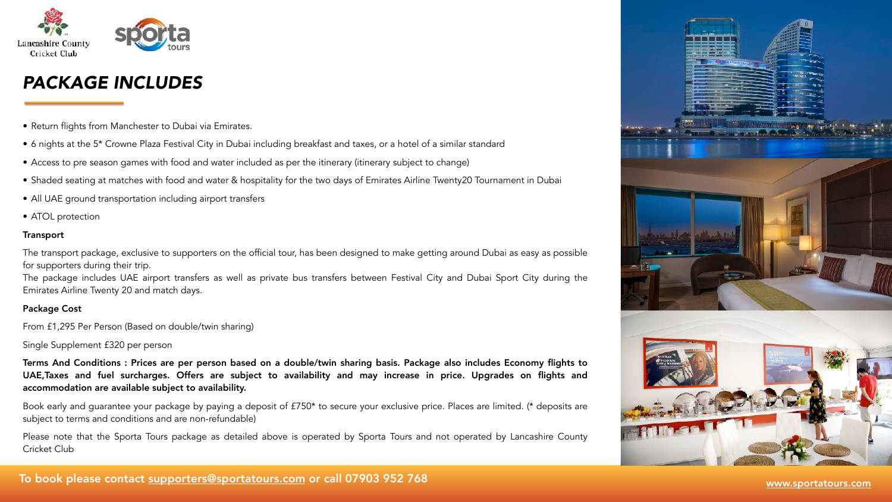- Return flights from Manchester to Dubai via Emirates.
- 6 nights at the 5\* Crowne Plaza Festival City in Dubai including breakfast and taxes, or a hotel of a similar standard
- Access to pre season games with food and water included as per the itinerary (itinerary subject to change)
- Shaded seating at matches with food and water & hospitality for the two days of Emirates Airline Twenty20 Tournament in Dubai
- All UAE ground transportation including airport transfers
- ATOL protection

### **Transport**

The transport package, exclusive to supporters on the official tour, has been designed to make getting around Dubai as easy as possible for supporters during their trip. The package includes UAE airport transfers as well as private bus transfers between Festival City and Dubai Sport City during the

Emirates Airline Twenty 20 and match days.

## Package Cost

From £1,295 Per Person (Based on double/twin sharing)

Single Supplement £320 per person

Terms And Conditions : Prices are per person based on a double/twin sharing basis. Package also includes Economy flights to UAE,Taxes and fuel surcharges. Offers are subject to availability and may increase in price. Upgrades on flights and accommodation are available subject to availability.

Book early and guarantee your package by paying a deposit of £750\* to secure your exclusive price. Places are limited. (\* deposits are subject to terms and conditions and are non-refundable)

Please note that the Sporta Tours package as detailed above is operated by Sporta Tours and not operated by Lancashire County Cricket Club

## To book please contact [supporters@sportatours.com](mailto:supporters@sportagroup.com?subject=) or call 07903 952 768 [www.sportatours.co](http://sportatours.com)[m](http://sportarabia.co.uk/)







# *PACKAGE INCLUDES*